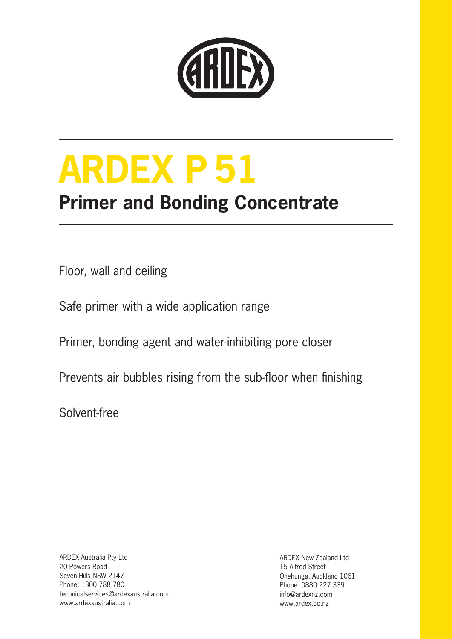

# **ARDEX P 51**

### **Primer and Bonding Concentrate**

Floor, wall and ceiling

Safe primer with a wide application range

Primer, bonding agent and water-inhibiting pore closer

Prevents air bubbles rising from the sub-floor when finishing

Solvent-free

ARDEX Australia Pty Ltd 20 Powers Road Seven Hills NSW 2147 Phone: 1300 788 780 technicalservices@ardexaustralia.com www.ardexaustralia.com

ARDEX New Zealand Ltd 15 Alfred Street Onehunga, Auckland 1061 Phone: 0880 227 339 info@ardexnz.com www.ardex.co.nz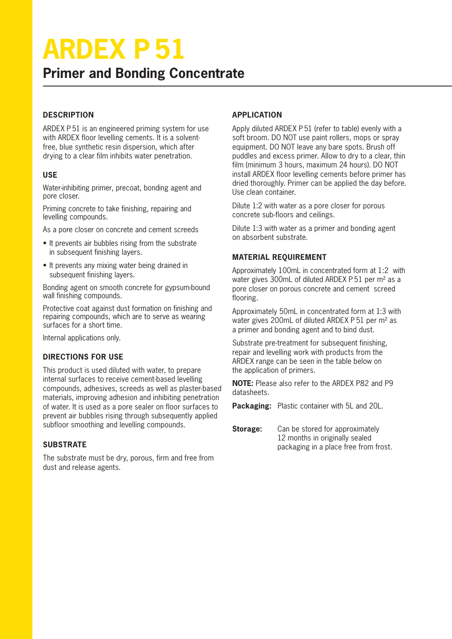## **ARDEX P 51**

#### **Primer and Bonding Concentrate**

#### **DESCRIPTION**

ARDEX P 51 is an engineered priming system for use with ARDEX floor levelling cements. It is a solventfree, blue synthetic resin dispersion, which after drying to a clear film inhibits water penetration.

#### **USE**

Water-inhibiting primer, precoat, bonding agent and pore closer.

Priming concrete to take finishing, repairing and levelling compounds.

As a pore closer on concrete and cement screeds

- It prevents air bubbles rising from the substrate in subsequent finishing layers.
- It prevents any mixing water being drained in subsequent finishing layers.

Bonding agent on smooth concrete for gypsum-bound wall finishing compounds.

Protective coat against dust formation on finishing and repairing compounds, which are to serve as wearing surfaces for a short time.

Internal applications only.

#### **DIRECTIONS FOR USE**

This product is used diluted with water, to prepare internal surfaces to receive cement-based levelling compounds, adhesives, screeds as well as plaster-based materials, improving adhesion and inhibiting penetration of water. It is used as a pore sealer on floor surfaces to prevent air bubbles rising through subsequently applied subfloor smoothing and levelling compounds.

#### **SUBSTRATE**

The substrate must be dry, porous, firm and free from dust and release agents.

#### **APPLICATION**

Apply diluted ARDEX P 51 (refer to table) evenly with a soft broom. DO NOT use paint rollers, mops or spray equipment. DO NOT leave any bare spots. Brush off puddles and excess primer. Allow to dry to a clear, thin film (minimum 3 hours, maximum 24 hours). DO NOT install ARDEX floor levelling cements before primer has dried thoroughly. Primer can be applied the day before. Use clean container.

Dilute 1:2 with water as a pore closer for porous concrete sub-floors and ceilings.

Dilute 1:3 with water as a primer and bonding agent on absorbent substrate.

#### **MATERIAL REQUIREMENT**

Approximately 100mL in concentrated form at 1:2 with water gives 300mL of diluted ARDEX P 51 per m² as a pore closer on porous concrete and cement screed flooring.

Approximately 50mL in concentrated form at 1:3 with water gives 200mL of diluted ARDEX P 51 per m² as a primer and bonding agent and to bind dust.

Substrate pre-treatment for subsequent finishing, repair and levelling work with products from the ARDEX range can be seen in the table below on the application of primers.

**NOTE:** Please also refer to the ARDEX P82 and P9 datasheets.

**Packaging:** Plastic container with 5L and 20L.

**Storage:** Can be stored for approximately 12 months in originally sealed packaging in a place free from frost.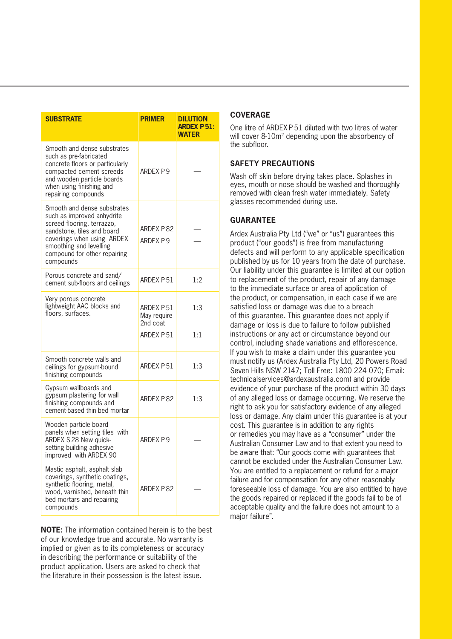| <b>SUBSTRATE</b>                                                                                                                                                                                                            | <b>PRIMER</b>                        | <b>DILUTION</b><br><b>ARDEX P51:</b><br><b>WATER</b> |
|-----------------------------------------------------------------------------------------------------------------------------------------------------------------------------------------------------------------------------|--------------------------------------|------------------------------------------------------|
| Smooth and dense substrates<br>such as pre-fabricated<br>concrete floors or particularly<br>compacted cement screeds<br>and wooden particle boards<br>when using finishing and<br>repairing compounds                       | ARDEX P9                             |                                                      |
| Smooth and dense substrates<br>such as improved anhydrite<br>screed flooring, terrazzo,<br>sandstone, tiles and board<br>coverings when using ARDEX<br>smoothing and levelling<br>compound for other repairing<br>compounds | ARDEX P82<br>ARDEX P9                |                                                      |
| Porous concrete and sand/<br>cement sub-floors and ceilings                                                                                                                                                                 | ARDEX P51                            | 1:2                                                  |
| Very porous concrete<br>lightweight AAC blocks and<br>floors, surfaces.                                                                                                                                                     | ARDEX P51<br>May require<br>2nd coat | 1:3                                                  |
|                                                                                                                                                                                                                             | ARDEX P51                            | 1:1                                                  |
| Smooth concrete walls and<br>ceilings for gypsum-bound<br>finishing compounds                                                                                                                                               | ARDEX P51                            | 1:3                                                  |
| Gypsum wallboards and<br>gypsum plastering for wall<br>finishing compounds and<br>cement-based thin bed mortar                                                                                                              | ARDEX P82                            | 1:3                                                  |
| Wooden particle board<br>panels when setting tiles with<br>ARDEX S 28 New quick-<br>setting building adhesive<br>improved with ARDEX 90                                                                                     | ARDFX P9                             |                                                      |
| Mastic asphalt, asphalt slab<br>coverings, synthetic coatings,<br>synthetic flooring, metal,<br>wood, varnished, beneath thin<br>bed mortars and repairing<br>compounds                                                     | ARDEX P82                            |                                                      |

**NOTE:** The information contained herein is to the best of our knowledge true and accurate. No warranty is implied or given as to its completeness or accuracy in describing the performance or suitability of the product application. Users are asked to check that the literature in their possession is the latest issue.

#### **COVERAGE**

One litre of ARDEX P 51 diluted with two litres of water will cover 8-10m<sup>2</sup> depending upon the absorbency of the subfloor.

#### **SAFETY PRECAUTIONS**

Wash off skin before drying takes place. Splashes in eyes, mouth or nose should be washed and thoroughly removed with clean fresh water immediately. Safety glasses recommended during use.

#### **GUARANTEE**

Ardex Australia Pty Ltd ("we" or "us") guarantees this product ("our goods") is free from manufacturing defects and will perform to any applicable specification published by us for 10 years from the date of purchase. Our liability under this guarantee is limited at our option to replacement of the product, repair of any damage to the immediate surface or area of application of the product, or compensation, in each case if we are satisfied loss or damage was due to a breach of this guarantee. This guarantee does not apply if damage or loss is due to failure to follow published instructions or any act or circumstance beyond our control, including shade variations and efflorescence. If you wish to make a claim under this guarantee you must notify us (Ardex Australia Pty Ltd, 20 Powers Road Seven Hills NSW 2147; Toll Free: 1800 224 070; Email: technicalservices@ardexaustralia.com) and provide evidence of your purchase of the product within 30 days of any alleged loss or damage occurring. We reserve the right to ask you for satisfactory evidence of any alleged loss or damage. Any claim under this guarantee is at your cost. This guarantee is in addition to any rights or remedies you may have as a "consumer" under the Australian Consumer Law and to that extent you need to be aware that: "Our goods come with guarantees that cannot be excluded under the Australian Consumer Law. You are entitled to a replacement or refund for a major failure and for compensation for any other reasonably foreseeable loss of damage. You are also entitled to have the goods repaired or replaced if the goods fail to be of acceptable quality and the failure does not amount to a major failure".